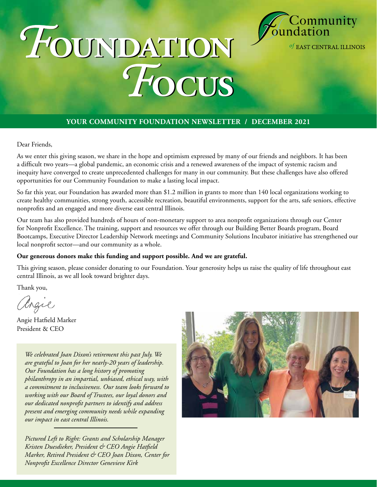

of EAST CENTRAL ILLINOIS

# *F***oundation** *F***oundation** *F***ocus** *F***ocus**

#### **YOUR COMMUNITY FOUNDATION NEWSLETTER / DECEMBER 2021**

Dear Friends,

As we enter this giving season, we share in the hope and optimism expressed by many of our friends and neighbors. It has been a difficult two years—a global pandemic, an economic crisis and a renewed awareness of the impact of systemic racism and inequity have converged to create unprecedented challenges for many in our community. But these challenges have also offered opportunities for our Community Foundation to make a lasting local impact.

So far this year, our Foundation has awarded more than \$1.2 million in grants to more than 140 local organizations working to create healthy communities, strong youth, accessible recreation, beautiful environments, support for the arts, safe seniors, effective nonprofits and an engaged and more diverse east central Illinois.

Our team has also provided hundreds of hours of non-monetary support to area nonprofit organizations through our Center for Nonprofit Excellence. The training, support and resources we offer through our Building Better Boards program, Board Bootcamps, Executive Director Leadership Network meetings and Community Solutions Incubator initiative has strengthened our local nonprofit sector—and our community as a whole.

#### **Our generous donors make this funding and support possible. And we are grateful.**

This giving season, please consider donating to our Foundation. Your generosity helps us raise the quality of life throughout east central Illinois, as we all look toward brighter days.

Thank you,

argie

Angie Hatfield Marker President & CEO

*We celebrated Joan Dixon's retirement this past July. We are grateful to Joan for her nearly-20 years of leadership. Our Foundation has a long history of promoting philanthropy in an impartial, unbiased, ethical way, with a commitment to inclusiveness. Our team looks forward to working with our Board of Trustees, our loyal donors and our dedicated nonprofit partners to identify and address present and emerging community needs while expanding our impact in east central Illinois.*

*Pictured Left to Right: Grants and Scholarship Manager Kristen Duesdieker, President & CEO Angie Hatfield Marker, Retired President & CEO Joan Dixon, Center for Nonprofit Excellence Director Genevieve Kirk*

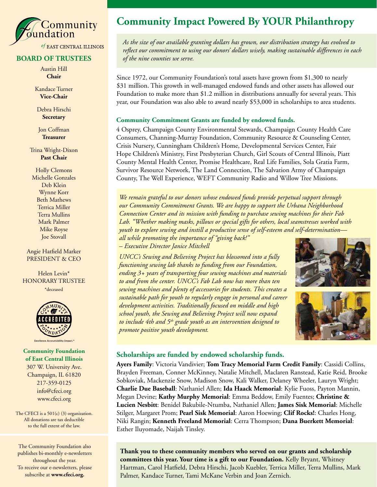

#### **BOARD OF TRUSTEES**

Austin Hill **Chair**

Kandace Turner **Vice-Chair**

Debra Hirschi **Secretary**

Jon Coffman **Treasurer**

Trina Wright-Dixon **Past Chair**

Holly Clemons Michelle Gonzales Deb Klein Wynne Korr Beth Mathews Terrica Miller Terra Mullins Mark Palmer Mike Royse Joe Stovall

Angie Hatfield Marker PRESIDENT & CEO

Helen Levin\* HONORARY TRUSTEE \*deceased





e. Accountability. Impact.

#### **Community Foundation of East Central Illinois**

307 W. University Ave. Champaign, IL 61820 217-359-0125 info@cfeci.org www.cfeci.org

The CFECI is a 501(c) (3) organization. All donations are tax deductible to the full extent of the law.

The Community Foundation also publishes bi-monthly e-newsletters throughout the year. To receive our e-newsletters, please subscribe at **www.cfeci.org.**

#### **Community Impact Powered By YOUR Philanthropy**

*As the size of our available granting dollars has grown, our distribution strategy has evolved to reflect our commitment to using our donors' dollars wisely, making sustainable differences in each of the nine counties we serve.* 

Since 1972, our Community Foundation's total assets have grown from \$1,300 to nearly \$31 million. This growth in well-managed endowed funds and other assets has allowed our Foundation to make more than \$1.2 million in distributions annually for several years. This year, our Foundation was also able to award nearly \$53,000 in scholarships to area students.

#### **Community Commitment Grants are funded by endowed funds.**

4 Osprey, Champaign County Environmental Stewards, Champaign County Health Care Consumers, Channing-Murray Foundation, Community Resource & Counseling Center, Crisis Nursery, Cunningham Children's Home, Developmental Services Center, Fair Hope Children's Ministry, First Presbyterian Church, Girl Scouts of Central Illinois, Piatt County Mental Health Center, Promise Healthcare, Real Life Families, Sola Gratia Farm, Survivor Resource Network, The Land Connection, The Salvation Army of Champaign County, The Well Experience, WEFT Community Radio and Willow Tree Missions.

*We remain grateful to our donors whose endowed funds provide perpetual support through our Community Commitment Grants. We are happy to support the Urbana Neighborhood Connection Center and its mission with funding to purchase sewing machines for their Fab Lab. "Whether making masks, pillows or special gifts for others, local seamstresses worked with youth to explore sewing and instill a productive sense of self-esteem and self-determination—*

*all while promoting the importance of "giving back!" – Executive Director Janice Mitchell* 

*UNCC's Sewing and Believing Project has blossomed into a fully functioning sewing lab thanks to funding from our Foundation, ending 3+ years of transporting four sewing machines and materials to and from the center. UNCC's Fab Lab now has more than ten sewing machines and plenty of accessories for students. This creates a sustainable path for youth to regularly engage in personal and career development activities. Traditionally focused on middle and high school youth, the Sewing and Believing Project will now expand to include 4th and 5th grade youth as an intervention designed to promote positive youth development.* 





#### **Scholarships are funded by endowed scholarship funds.**

**Ayers Family**: Victoria Vandivier; **Tom Tracy Memorial Farm Credit Family**: Cassidi Collins, Brayden Freeman, Conner McKinney, Natalie Mitchell, Maclaren Ranstead, Katie Reid, Brooke Sobkoviak, Mackenzie Snow, Madison Snow, Kali Walker, Delaney Wheeler, Lauryn Wright; **Charlie Due Baseball**: Nathaniel Allen; **Ida Haack Memorial**: Kylie Fuoss, Payton Mannin, Megan Devine; **Kathy Murphy Memorial**: Emma Beddow, Emily Fuentes; **Christine & Lucien Nesbitt**: Benidel Bakubile-Ntumba, Nathaniel Allen; **James Sisk Memorial**: Michelle Stilger, Margaret Prom; **Pearl Sisk Memorial**: Aaron Hoewing; **Clif Rocks!**: Charles Hong, Niki Rangin; **Kenneth Freeland Memorial**: Cerra Thompson; **Dana Buerkett Memorial**: Esther Iluyomade, Naijah Tinsley.

**Thank you to these community members who served on our grants and scholarship committees this year. Your time is a gift to our Foundation.** Kelly Bryant, Whitney Hartman, Carol Hatfield, Debra Hirschi, Jacob Kuebler, Terrica Miller, Terra Mullins, Mark Palmer, Kandace Turner, Tami McKane Verbin and Joan Zernich.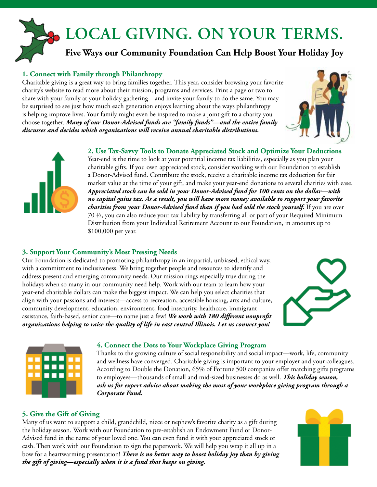## **LOCAL GIVING. ON YOUR TERMS.**

#### **Five Ways our Community Foundation Can Help Boost Your Holiday Joy**

#### **1. Connect with Family through Philanthropy**

Charitable giving is a great way to bring families together. This year, consider browsing your favorite charity's website to read more about their mission, programs and services. Print a page or two to share with your family at your holiday gathering—and invite your family to do the same. You may be surprised to see just how much each generation enjoys learning about the ways philanthropy is helping improve lives. Your family might even be inspired to make a joint gift to a charity you choose together. *Many of our Donor-Advised funds are "family funds"—and the entire family discusses and decides which organizations will receive annual charitable distributions.*



#### **2. Use Tax-Savvy Tools to Donate Appreciated Stock and Optimize Your Deductions**

Year-end is the time to look at your potential income tax liabilities, especially as you plan your charitable gifts. If you own appreciated stock, consider working with our Foundation to establish a Donor-Advised fund. Contribute the stock, receive a charitable income tax deduction for fair market value at the time of your gift, and make your year-end donations to several charities with ease. *Appreciated stock can be sold in your Donor-Advised fund for 100 cents on the dollar—with no capital gains tax. As a result, you will have more money available to support your favorite charities from your Donor-Advised fund than if you had sold the stock yourself.* If you are over 70 ½, you can also reduce your tax liability by transferring all or part of your Required Minimum Distribution from your Individual Retirement Account to our Foundation, in amounts up to \$100,000 per year.

#### **3. Support Your Community's Most Pressing Needs**

Our Foundation is dedicated to promoting philanthropy in an impartial, unbiased, ethical way, with a commitment to inclusiveness. We bring together people and resources to identify and address present and emerging community needs. Our mission rings especially true during the holidays when so many in our community need help. Work with our team to learn how your year-end charitable dollars can make the biggest impact. We can help you select charities that align with your passions and interests—access to recreation, accessible housing, arts and culture, community development, education, environment, food insecurity, healthcare, immigrant assistance, faith-based, senior care—to name just a few! *We work with 180 different nonprofit organizations helping to raise the quality of life in east central Illinois. Let us connect you!*





#### **4. Connect the Dots to Your Workplace Giving Program**

Thanks to the growing culture of social responsibility and social impact—work, life, community and wellness have converged. Charitable giving is important to your employer and your colleagues. According to Double the Donation, 65% of Fortune 500 companies offer matching gifts programs to employees—thousands of small and mid-sized businesses do as well. *This holiday season, ask us for expert advice about making the most of your workplace giving program through a Corporate Fund.*

#### **5. Give the Gift of Giving**

Many of us want to support a child, grandchild, niece or nephew's favorite charity as a gift during the holiday season. Work with our Foundation to pre-establish an Endowment Fund or Donor-Advised fund in the name of your loved one. You can even fund it with your appreciated stock or cash. Then work with our Foundation to sign the paperwork. We will help you wrap it all up in a bow for a heartwarming presentation! *There is no better way to boost holiday joy than by giving the gift of giving—especially when it is a fund that keeps on giving.*